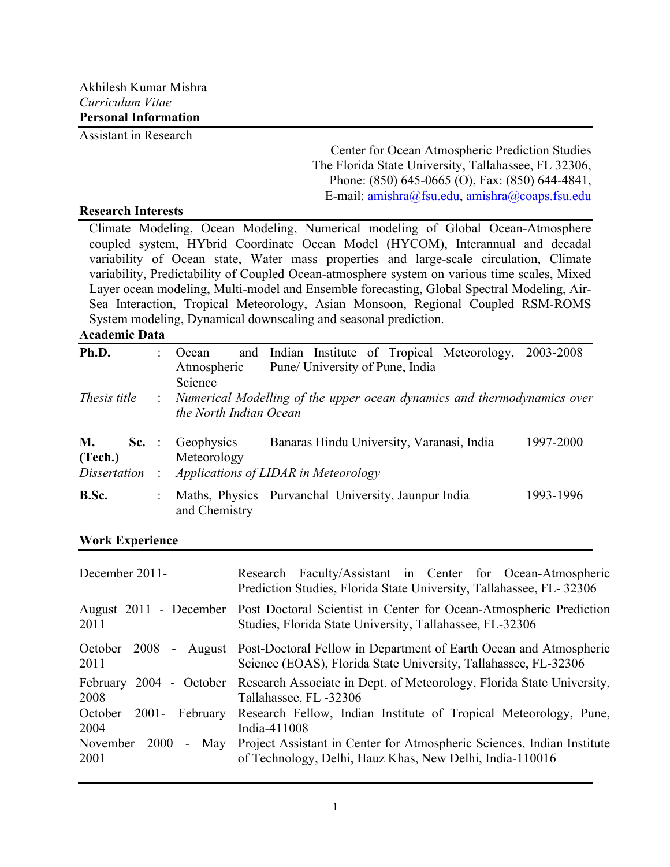Assistant in Research

Center for Ocean Atmospheric Prediction Studies The Florida State University, Tallahassee, FL 32306, Phone: (850) 645-0665 (O), Fax: (850) 644-4841, E-mail: amishra@fsu.edu, amishra@coaps.fsu.edu

#### **Research Interests**

Climate Modeling, Ocean Modeling, Numerical modeling of Global Ocean-Atmosphere coupled system, HYbrid Coordinate Ocean Model (HYCOM), Interannual and decadal variability of Ocean state, Water mass properties and large-scale circulation, Climate variability, Predictability of Coupled Ocean-atmosphere system on various time scales, Mixed Layer ocean modeling, Multi-model and Ensemble forecasting, Global Spectral Modeling, Air-Sea Interaction, Tropical Meteorology, Asian Monsoon, Regional Coupled RSM-ROMS System modeling, Dynamical downscaling and seasonal prediction.

## **Academic Data**

| Ph.D.         | Ocean                                                                                               | and Indian Institute of Tropical Meteorology, 2003-2008 |           |
|---------------|-----------------------------------------------------------------------------------------------------|---------------------------------------------------------|-----------|
|               | Atmospheric                                                                                         | Pune/ University of Pune, India                         |           |
|               | Science                                                                                             |                                                         |           |
| Thesis title  | : Numerical Modelling of the upper ocean dynamics and thermodynamics over<br>the North Indian Ocean |                                                         |           |
| М.<br>(Tech.) | <b>Sc.</b> : Geophysics<br>Meteorology                                                              | Banaras Hindu University, Varanasi, India               | 1997-2000 |
| Dissertation: |                                                                                                     | Applications of LIDAR in Meteorology                    |           |
| B.Sc.         | and Chemistry                                                                                       | Maths, Physics Purvanchal University, Jaunpur India     | 1993-1996 |

### **Work Experience**

| December 2011-                                           | Research Faculty/Assistant in Center for Ocean-Atmospheric<br>Prediction Studies, Florida State University, Tallahassee, FL- 32306            |
|----------------------------------------------------------|-----------------------------------------------------------------------------------------------------------------------------------------------|
| August 2011 - December<br>2011                           | Post Doctoral Scientist in Center for Ocean-Atmospheric Prediction<br>Studies, Florida State University, Tallahassee, FL-32306                |
| October 2008<br>2011                                     | - August Post-Doctoral Fellow in Department of Earth Ocean and Atmospheric<br>Science (EOAS), Florida State University, Tallahassee, FL-32306 |
| February<br>2004 - October<br>2008                       | Research Associate in Dept. of Meteorology, Florida State University,<br>Tallahassee, FL -32306                                               |
| October<br>$2001 -$<br>February<br>2004                  | Research Fellow, Indian Institute of Tropical Meteorology, Pune,<br>India-411008                                                              |
| November<br><b>2000</b><br>May<br>$\blacksquare$<br>2001 | Project Assistant in Center for Atmospheric Sciences, Indian Institute<br>of Technology, Delhi, Hauz Khas, New Delhi, India-110016            |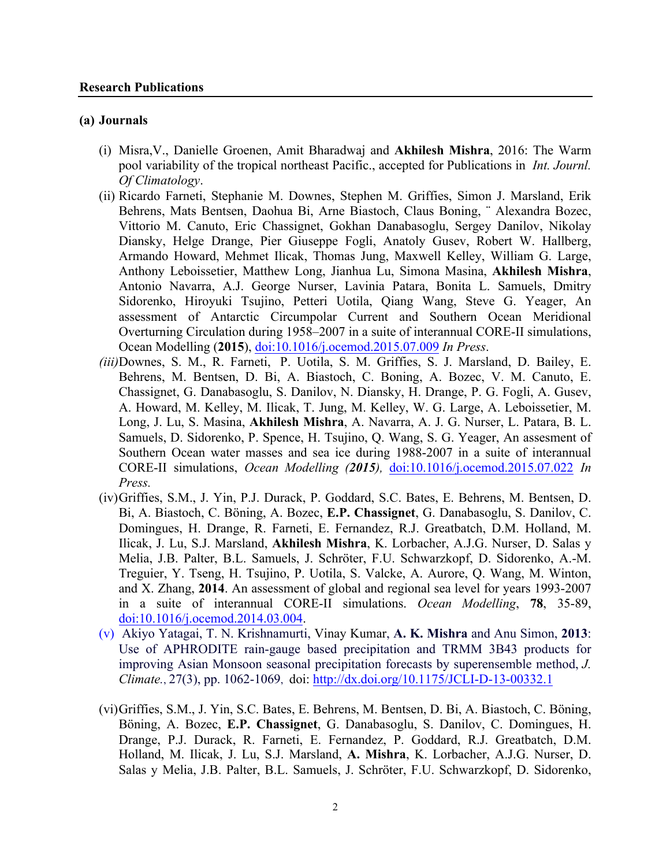#### **Research Publications**

#### **(a) Journals**

- (i) Misra,V., Danielle Groenen, Amit Bharadwaj and **Akhilesh Mishra**, 2016: The Warm pool variability of the tropical northeast Pacific., accepted for Publications in *Int. Journl. Of Climatology*.
- (ii) Ricardo Farneti, Stephanie M. Downes, Stephen M. Griffies, Simon J. Marsland, Erik Behrens, Mats Bentsen, Daohua Bi, Arne Biastoch, Claus Boning, ¨ Alexandra Bozec, Vittorio M. Canuto, Eric Chassignet, Gokhan Danabasoglu, Sergey Danilov, Nikolay Diansky, Helge Drange, Pier Giuseppe Fogli, Anatoly Gusev, Robert W. Hallberg, Armando Howard, Mehmet Ilicak, Thomas Jung, Maxwell Kelley, William G. Large, Anthony Leboissetier, Matthew Long, Jianhua Lu, Simona Masina, **Akhilesh Mishra**, Antonio Navarra, A.J. George Nurser, Lavinia Patara, Bonita L. Samuels, Dmitry Sidorenko, Hiroyuki Tsujino, Petteri Uotila, Qiang Wang, Steve G. Yeager, An assessment of Antarctic Circumpolar Current and Southern Ocean Meridional Overturning Circulation during 1958–2007 in a suite of interannual CORE-II simulations, Ocean Modelling (**2015**), doi:10.1016/j.ocemod.2015.07.009 *In Press*.
- *(iii)*Downes, S. M., R. Farneti, P. Uotila, S. M. Griffies, S. J. Marsland, D. Bailey, E. Behrens, M. Bentsen, D. Bi, A. Biastoch, C. Boning, A. Bozec, V. M. Canuto, E. Chassignet, G. Danabasoglu, S. Danilov, N. Diansky, H. Drange, P. G. Fogli, A. Gusev, A. Howard, M. Kelley, M. Ilicak, T. Jung, M. Kelley, W. G. Large, A. Leboissetier, M. Long, J. Lu, S. Masina, **Akhilesh Mishra**, A. Navarra, A. J. G. Nurser, L. Patara, B. L. Samuels, D. Sidorenko, P. Spence, H. Tsujino, Q. Wang, S. G. Yeager, An assesment of Southern Ocean water masses and sea ice during 1988-2007 in a suite of interannual CORE-II simulations, *Ocean Modelling (2015),* doi:10.1016/j.ocemod.2015.07.022 *In Press.*
- (iv)Griffies, S.M., J. Yin, P.J. Durack, P. Goddard, S.C. Bates, E. Behrens, M. Bentsen, D. Bi, A. Biastoch, C. Böning, A. Bozec, **E.P. Chassignet**, G. Danabasoglu, S. Danilov, C. Domingues, H. Drange, R. Farneti, E. Fernandez, R.J. Greatbatch, D.M. Holland, M. Ilicak, J. Lu, S.J. Marsland, **Akhilesh Mishra**, K. Lorbacher, A.J.G. Nurser, D. Salas y Melia, J.B. Palter, B.L. Samuels, J. Schröter, F.U. Schwarzkopf, D. Sidorenko, A.-M. Treguier, Y. Tseng, H. Tsujino, P. Uotila, S. Valcke, A. Aurore, Q. Wang, M. Winton, and X. Zhang, **2014**. An assessment of global and regional sea level for years 1993-2007 in a suite of interannual CORE-II simulations. *Ocean Modelling*, **78**, 35-89, doi:10.1016/j.ocemod.2014.03.004.
- (v) Akiyo Yatagai, T. N. Krishnamurti, Vinay Kumar, **A. K. Mishra** and Anu Simon, **2013**: Use of APHRODITE rain-gauge based precipitation and TRMM 3B43 products for improving Asian Monsoon seasonal precipitation forecasts by superensemble method, *J. Climate.*, 27(3), pp. 1062-1069, doi: http://dx.doi.org/10.1175/JCLI-D-13-00332.1
- (vi)Griffies, S.M., J. Yin, S.C. Bates, E. Behrens, M. Bentsen, D. Bi, A. Biastoch, C. Böning, Böning, A. Bozec, **E.P. Chassignet**, G. Danabasoglu, S. Danilov, C. Domingues, H. Drange, P.J. Durack, R. Farneti, E. Fernandez, P. Goddard, R.J. Greatbatch, D.M. Holland, M. Ilicak, J. Lu, S.J. Marsland, **A. Mishra**, K. Lorbacher, A.J.G. Nurser, D. Salas y Melia, J.B. Palter, B.L. Samuels, J. Schröter, F.U. Schwarzkopf, D. Sidorenko,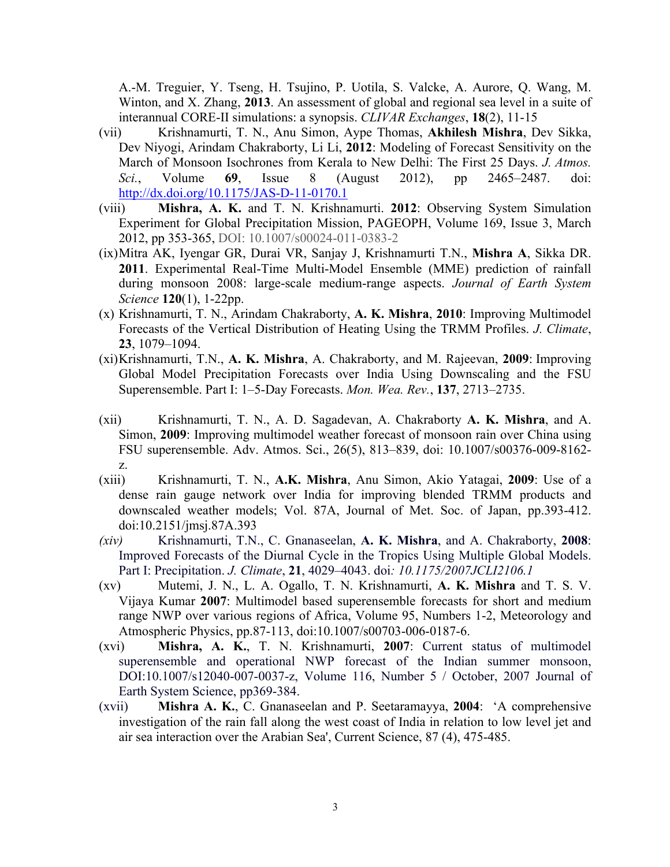A.-M. Treguier, Y. Tseng, H. Tsujino, P. Uotila, S. Valcke, A. Aurore, Q. Wang, M. Winton, and X. Zhang, **2013**. An assessment of global and regional sea level in a suite of interannual CORE-II simulations: a synopsis. *CLIVAR Exchanges*, **18**(2), 11-15

- (vii) Krishnamurti, T. N., Anu Simon, Aype Thomas, **Akhilesh Mishra**, Dev Sikka, Dev Niyogi, Arindam Chakraborty, Li Li, **2012**: Modeling of Forecast Sensitivity on the March of Monsoon Isochrones from Kerala to New Delhi: The First 25 Days. *J. Atmos. Sci.*, Volume **69**, Issue 8 (August 2012), pp 2465–2487. doi: http://dx.doi.org/10.1175/JAS-D-11-0170.1
- (viii) **Mishra, A. K.** and T. N. Krishnamurti. **2012**: Observing System Simulation Experiment for Global Precipitation Mission, PAGEOPH, Volume 169, Issue 3, March 2012, pp 353-365, DOI: 10.1007/s00024-011-0383-2
- (ix)Mitra AK, Iyengar GR, Durai VR, Sanjay J, Krishnamurti T.N., **Mishra A**, Sikka DR. **2011**. Experimental Real-Time Multi-Model Ensemble (MME) prediction of rainfall during monsoon 2008: large-scale medium-range aspects. *Journal of Earth System Science* **120**(1), 1-22pp.
- (x) Krishnamurti, T. N., Arindam Chakraborty, **A. K. Mishra**, **2010**: Improving Multimodel Forecasts of the Vertical Distribution of Heating Using the TRMM Profiles. *J. Climate*, **23**, 1079–1094.
- (xi)Krishnamurti, T.N., **A. K. Mishra**, A. Chakraborty, and M. Rajeevan, **2009**: Improving Global Model Precipitation Forecasts over India Using Downscaling and the FSU Superensemble. Part I: 1–5-Day Forecasts. *Mon. Wea. Rev.*, **137**, 2713–2735.
- (xii) Krishnamurti, T. N., A. D. Sagadevan, A. Chakraborty **A. K. Mishra**, and A. Simon, **2009**: Improving multimodel weather forecast of monsoon rain over China using FSU superensemble. Adv. Atmos. Sci., 26(5), 813–839, doi: 10.1007/s00376-009-8162 z.
- (xiii) Krishnamurti, T. N., **A.K. Mishra**, Anu Simon, Akio Yatagai, **2009**: Use of a dense rain gauge network over India for improving blended TRMM products and downscaled weather models; Vol. 87A, Journal of Met. Soc. of Japan, pp.393-412. doi:10.2151/jmsj.87A.393
- *(xiv)* Krishnamurti, T.N., C. Gnanaseelan, **A. K. Mishra**, and A. Chakraborty, **2008**: Improved Forecasts of the Diurnal Cycle in the Tropics Using Multiple Global Models. Part I: Precipitation. *J. Climate*, **21**, 4029–4043. doi*: 10.1175/2007JCLI2106.1*
- (xv) Mutemi, J. N., L. A. Ogallo, T. N. Krishnamurti, **A. K. Mishra** and T. S. V. Vijaya Kumar **2007**: Multimodel based superensemble forecasts for short and medium range NWP over various regions of Africa, Volume 95, Numbers 1-2, Meteorology and Atmospheric Physics, pp.87-113, doi:10.1007/s00703-006-0187-6.
- (xvi) **Mishra, A. K.**, T. N. Krishnamurti, **2007**: Current status of multimodel superensemble and operational NWP forecast of the Indian summer monsoon, DOI:10.1007/s12040-007-0037-z, Volume 116, Number 5 / October, 2007 Journal of Earth System Science, pp369-384.
- (xvii) **Mishra A. K.**, C. Gnanaseelan and P. Seetaramayya, **2004**: 'A comprehensive investigation of the rain fall along the west coast of India in relation to low level jet and air sea interaction over the Arabian Sea', Current Science, 87 (4), 475-485.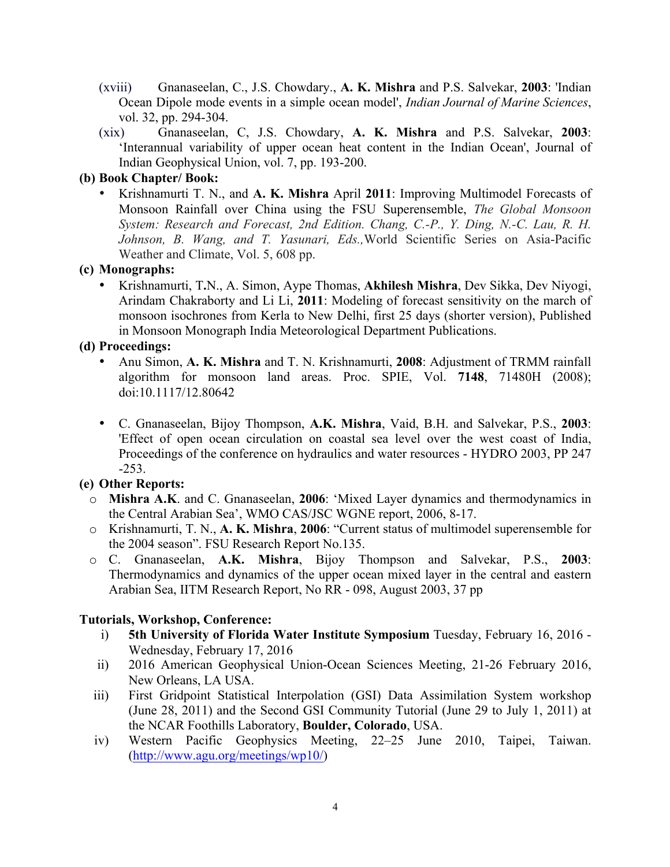- (xviii) Gnanaseelan, C., J.S. Chowdary., **A. K. Mishra** and P.S. Salvekar, **2003**: 'Indian Ocean Dipole mode events in a simple ocean model', *Indian Journal of Marine Sciences*, vol. 32, pp. 294-304.
- (xix) Gnanaseelan, C, J.S. Chowdary, **A. K. Mishra** and P.S. Salvekar, **2003**: 'Interannual variability of upper ocean heat content in the Indian Ocean', Journal of Indian Geophysical Union, vol. 7, pp. 193-200.

#### **(b) Book Chapter/ Book:**

• Krishnamurti T. N., and **A. K. Mishra** April **2011**: Improving Multimodel Forecasts of Monsoon Rainfall over China using the FSU Superensemble, *The Global Monsoon System: Research and Forecast, 2nd Edition. Chang, C.-P., Y. Ding, N.-C. Lau, R. H. Johnson, B. Wang, and T. Yasunari, Eds.,*World Scientific Series on Asia-Pacific Weather and Climate, Vol. 5, 608 pp.

## **(c) Monographs:**

• Krishnamurti, T**.**N., A. Simon, Aype Thomas, **Akhilesh Mishra**, Dev Sikka, Dev Niyogi, Arindam Chakraborty and Li Li, **2011**: Modeling of forecast sensitivity on the march of monsoon isochrones from Kerla to New Delhi, first 25 days (shorter version), Published in Monsoon Monograph India Meteorological Department Publications.

# **(d) Proceedings:**

- Anu Simon, **A. K. Mishra** and T. N. Krishnamurti, **2008**: Adjustment of TRMM rainfall algorithm for monsoon land areas. Proc. SPIE, Vol. **7148**, 71480H (2008); doi:10.1117/12.80642
- C. Gnanaseelan, Bijoy Thompson, **A.K. Mishra**, Vaid, B.H. and Salvekar, P.S., **2003**: 'Effect of open ocean circulation on coastal sea level over the west coast of India, Proceedings of the conference on hydraulics and water resources - HYDRO 2003, PP 247 -253.

# **(e) Other Reports:**

- o **Mishra A.K**. and C. Gnanaseelan, **2006**: 'Mixed Layer dynamics and thermodynamics in the Central Arabian Sea', WMO CAS/JSC WGNE report, 2006, 8-17.
- o Krishnamurti, T. N., **A. K. Mishra**, **2006**: "Current status of multimodel superensemble for the 2004 season". FSU Research Report No.135.
- o C. Gnanaseelan, **A.K. Mishra**, Bijoy Thompson and Salvekar, P.S., **2003**: Thermodynamics and dynamics of the upper ocean mixed layer in the central and eastern Arabian Sea, IITM Research Report, No RR - 098, August 2003, 37 pp

# **Tutorials, Workshop, Conference:**

- i) **5th University of Florida Water Institute Symposium** Tuesday, February 16, 2016 Wednesday, February 17, 2016
- ii) 2016 American Geophysical Union-Ocean Sciences Meeting, 21-26 February 2016, New Orleans, LA USA.
- iii) First Gridpoint Statistical Interpolation (GSI) Data Assimilation System workshop (June 28, 2011) and the Second GSI Community Tutorial (June 29 to July 1, 2011) at the NCAR Foothills Laboratory, **Boulder, Colorado**, USA.
- iv) Western Pacific Geophysics Meeting, 22–25 June 2010, Taipei, Taiwan. (http://www.agu.org/meetings/wp10/)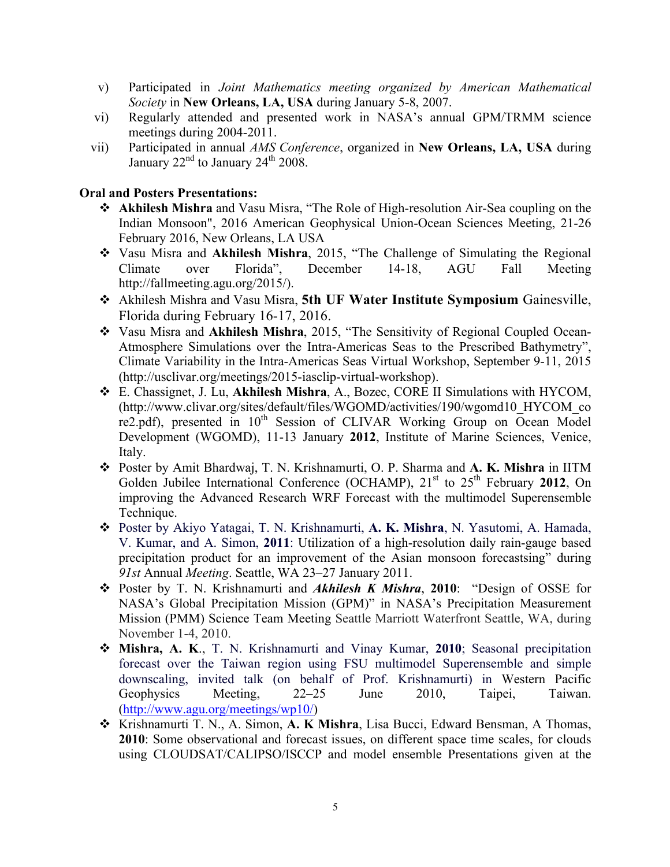- v) Participated in *Joint Mathematics meeting organized by American Mathematical Society* in **New Orleans, LA, USA** during January 5-8, 2007.
- vi) Regularly attended and presented work in NASA's annual GPM/TRMM science meetings during 2004-2011.
- vii) Participated in annual *AMS Conference*, organized in **New Orleans, LA, USA** during January  $22<sup>nd</sup>$  to January  $24<sup>th</sup>$  2008.

### **Oral and Posters Presentations:**

- v **Akhilesh Mishra** and Vasu Misra, "The Role of High-resolution Air-Sea coupling on the Indian Monsoon", 2016 American Geophysical Union-Ocean Sciences Meeting, 21-26 February 2016, New Orleans, LA USA
- v Vasu Misra and **Akhilesh Mishra**, 2015, "The Challenge of Simulating the Regional Climate over Florida", December 14-18, AGU Fall Meeting http://fallmeeting.agu.org/2015/).
- v Akhilesh Mishra and Vasu Misra, **5th UF Water Institute Symposium** Gainesville, Florida during February 16-17, 2016.
- v Vasu Misra and **Akhilesh Mishra**, 2015, "The Sensitivity of Regional Coupled Ocean-Atmosphere Simulations over the Intra-Americas Seas to the Prescribed Bathymetry", Climate Variability in the Intra-Americas Seas Virtual Workshop, September 9-11, 2015 (http://usclivar.org/meetings/2015-iasclip-virtual-workshop).
- v E. Chassignet, J. Lu, **Akhilesh Mishra**, A., Bozec, CORE II Simulations with HYCOM, (http://www.clivar.org/sites/default/files/WGOMD/activities/190/wgomd10\_HYCOM\_co re2.pdf), presented in  $10^{th}$  Session of CLIVAR Working Group on Ocean Model Development (WGOMD), 11-13 January **2012**, Institute of Marine Sciences, Venice, Italy.
- v Poster by Amit Bhardwaj, T. N. Krishnamurti, O. P. Sharma and **A. K. Mishra** in IITM Golden Jubilee International Conference (OCHAMP), 21<sup>st</sup> to 25<sup>th</sup> February 2012, On improving the Advanced Research WRF Forecast with the multimodel Superensemble Technique.
- v Poster by Akiyo Yatagai, T. N. Krishnamurti, **A. K. Mishra**, N. Yasutomi, A. Hamada, V. Kumar, and A. Simon, **2011**: Utilization of a high-resolution daily rain-gauge based precipitation product for an improvement of the Asian monsoon forecastsing" during *91st* Annual *Meeting*. Seattle, WA 23–27 January 2011.
- v Poster by T. N. Krishnamurti and *Akhilesh K Mishra*, **2010**: "Design of OSSE for NASA's Global Precipitation Mission (GPM)" in NASA's Precipitation Measurement Mission (PMM) Science Team Meeting Seattle Marriott Waterfront Seattle, WA, during November 1-4, 2010.
- v **Mishra, A. K**., T. N. Krishnamurti and Vinay Kumar, **2010**; Seasonal precipitation forecast over the Taiwan region using FSU multimodel Superensemble and simple downscaling, invited talk (on behalf of Prof. Krishnamurti) in Western Pacific Geophysics Meeting, 22–25 June 2010, Taipei, Taiwan. (http://www.agu.org/meetings/wp10/)
- v Krishnamurti T. N., A. Simon, **A. K Mishra**, Lisa Bucci, Edward Bensman, A Thomas, **2010**: Some observational and forecast issues, on different space time scales, for clouds using CLOUDSAT/CALIPSO/ISCCP and model ensemble Presentations given at the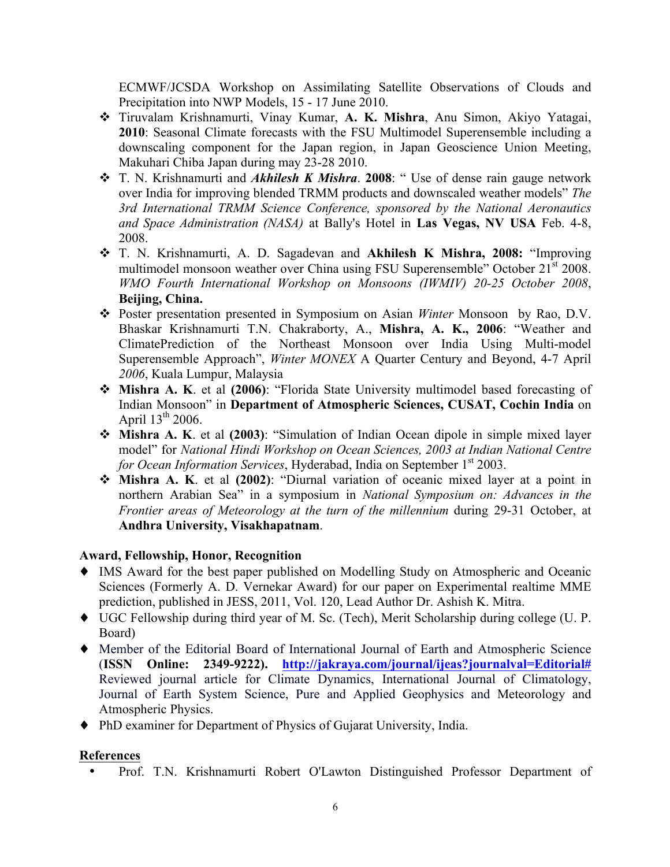ECMWF/JCSDA Workshop on Assimilating Satellite Observations of Clouds and Precipitation into NWP Models, 15 - 17 June 2010.

- v Tiruvalam Krishnamurti, Vinay Kumar, **A. K. Mishra**, Anu Simon, Akiyo Yatagai, **2010**: Seasonal Climate forecasts with the FSU Multimodel Superensemble including a downscaling component for the Japan region, in Japan Geoscience Union Meeting, Makuhari Chiba Japan during may 23-28 2010.
- v T. N. Krishnamurti and *Akhilesh K Mishra*. **2008**: " Use of dense rain gauge network over India for improving blended TRMM products and downscaled weather models" *The 3rd International TRMM Science Conference, sponsored by the National Aeronautics and Space Administration (NASA)* at Bally's Hotel in **Las Vegas, NV USA** Feb. 4-8, 2008.
- v T. N. Krishnamurti, A. D. Sagadevan and **Akhilesh K Mishra, 2008:** "Improving multimodel monsoon weather over China using FSU Superensemble" October 21<sup>st</sup> 2008. *WMO Fourth International Workshop on Monsoons (IWMIV) 20-25 October 2008*, **Beijing, China.**
- v Poster presentation presented in Symposium on Asian *Winter* Monsoon by Rao, D.V. Bhaskar Krishnamurti T.N. Chakraborty, A., **Mishra, A. K., 2006**: "Weather and ClimatePrediction of the Northeast Monsoon over India Using Multi-model Superensemble Approach", *Winter MONEX* A Quarter Century and Beyond, 4-7 April *2006*, Kuala Lumpur, Malaysia
- v **Mishra A. K**. et al **(2006)**: "Florida State University multimodel based forecasting of Indian Monsoon" in **Department of Atmospheric Sciences, CUSAT, Cochin India** on April  $13^{th}$  2006.
- v **Mishra A. K**. et al **(2003)**: "Simulation of Indian Ocean dipole in simple mixed layer model" for *National Hindi Workshop on Ocean Sciences, 2003 at Indian National Centre for Ocean Information Services*, Hyderabad, India on September 1<sup>st</sup> 2003.
- v **Mishra A. K**. et al **(2002)**: "Diurnal variation of oceanic mixed layer at a point in northern Arabian Sea" in a symposium in *National Symposium on: Advances in the Frontier areas of Meteorology at the turn of the millennium* during 29-31 October, at **Andhra University, Visakhapatnam**.

# **Award, Fellowship, Honor, Recognition**

- ♦ IMS Award for the best paper published on Modelling Study on Atmospheric and Oceanic Sciences (Formerly A. D. Vernekar Award) for our paper on Experimental realtime MME prediction, published in JESS, 2011, Vol. 120, Lead Author Dr. Ashish K. Mitra.
- ♦ UGC Fellowship during third year of M. Sc. (Tech), Merit Scholarship during college (U. P. Board)
- ♦ Member of the Editorial Board of International Journal of Earth and Atmospheric Science (**ISSN Online: 2349-9222). http://jakraya.com/journal/ijeas?journalval=Editorial#** Reviewed journal article for Climate Dynamics, International Journal of Climatology, Journal of Earth System Science, Pure and Applied Geophysics and Meteorology and Atmospheric Physics.
- ♦ PhD examiner for Department of Physics of Gujarat University, India.

# **References**

• Prof. T.N. Krishnamurti Robert O'Lawton Distinguished Professor Department of